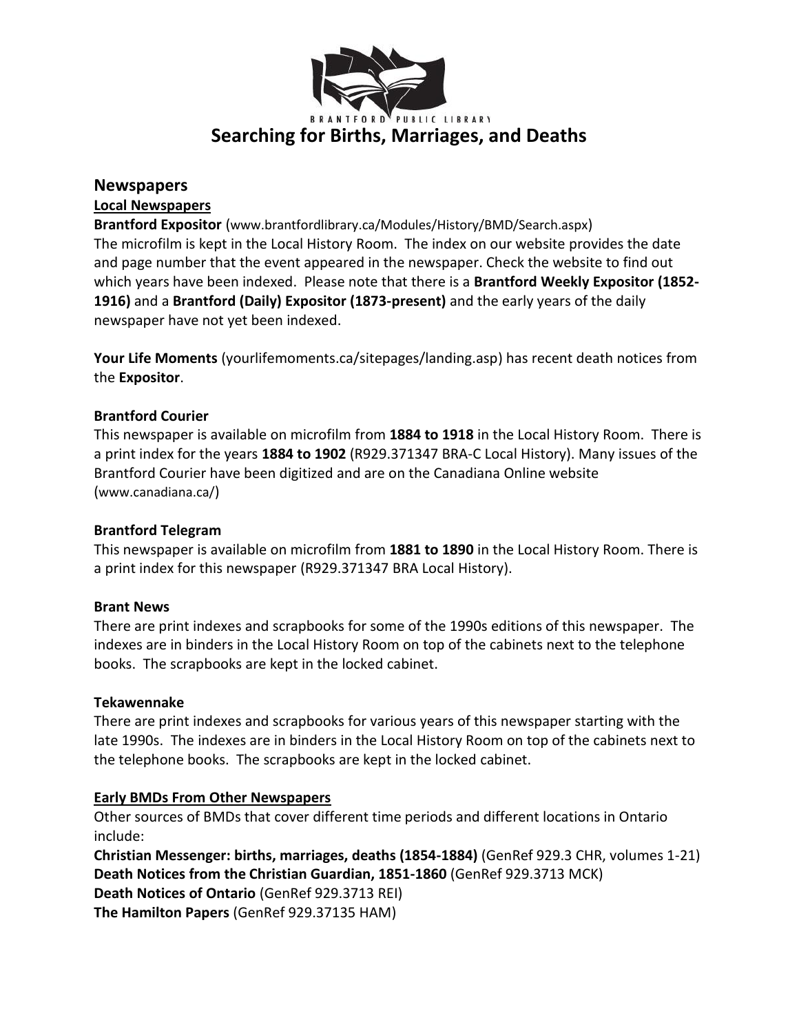

### **Newspapers**

#### **Local Newspapers**

**Brantford Expositor** (www.brantfordlibrary.ca/Modules/History/BMD/Search.aspx) The microfilm is kept in the Local History Room. The index on our website provides the date and page number that the event appeared in the newspaper. Check the website to find out which years have been indexed. Please note that there is a **Brantford Weekly Expositor (1852- 1916)** and a **Brantford (Daily) Expositor (1873-present)** and the early years of the daily newspaper have not yet been indexed.

**Your Life Moments** (yourlifemoments.ca/sitepages/landing.asp) has recent death notices from the **Expositor**.

#### **Brantford Courier**

This newspaper is available on microfilm from **1884 to 1918** in the Local History Room. There is a print index for the years **1884 to 1902** (R929.371347 BRA-C Local History). Many issues of the Brantford Courier have been digitized and are on the Canadiana Online website (www.canadiana.ca/)

#### **Brantford Telegram**

This newspaper is available on microfilm from **1881 to 1890** in the Local History Room. There is a print index for this newspaper (R929.371347 BRA Local History).

#### **Brant News**

There are print indexes and scrapbooks for some of the 1990s editions of this newspaper. The indexes are in binders in the Local History Room on top of the cabinets next to the telephone books. The scrapbooks are kept in the locked cabinet.

#### **Tekawennake**

There are print indexes and scrapbooks for various years of this newspaper starting with the late 1990s. The indexes are in binders in the Local History Room on top of the cabinets next to the telephone books. The scrapbooks are kept in the locked cabinet.

# **Early BMDs From Other Newspapers**

Other sources of BMDs that cover different time periods and different locations in Ontario include:

**Christian Messenger: births, marriages, deaths (1854-1884)** (GenRef 929.3 CHR, volumes 1-21) **Death Notices from the Christian Guardian, 1851-1860** (GenRef 929.3713 MCK) **Death Notices of Ontario** (GenRef 929.3713 REI) **The Hamilton Papers** (GenRef 929.37135 HAM)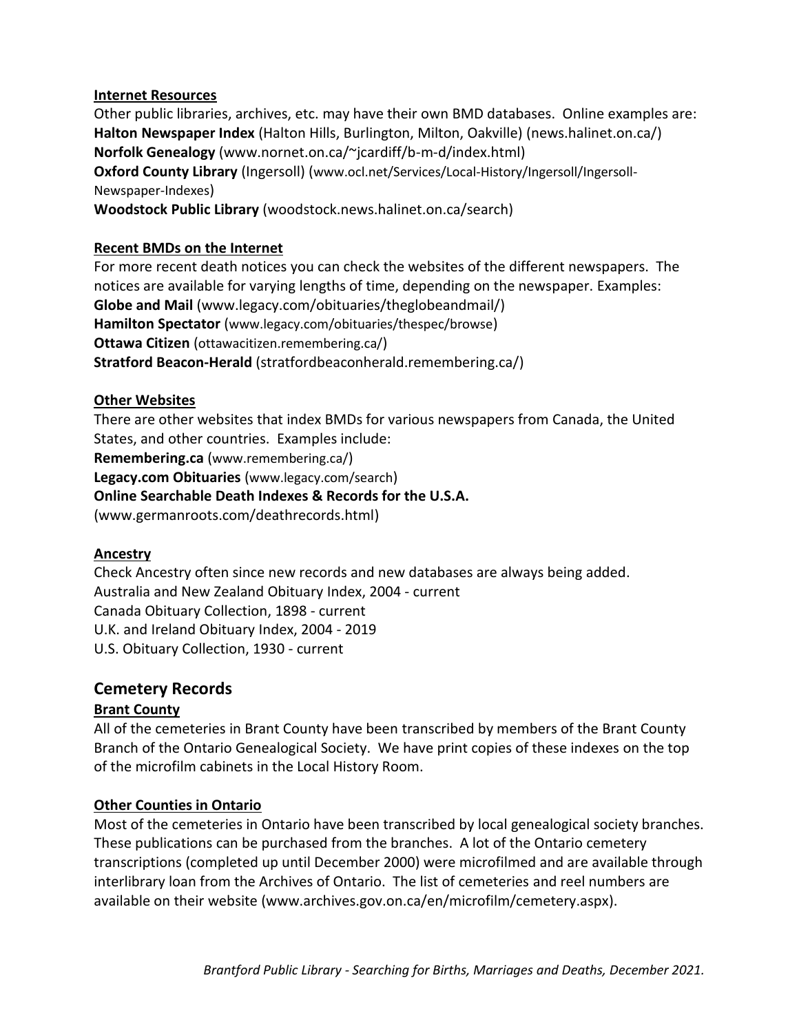#### **Internet Resources**

Other public libraries, archives, etc. may have their own BMD databases. Online examples are: **Halton Newspaper Index** (Halton Hills, Burlington, Milton, Oakville) (news.halinet.on.ca/) **Norfolk Genealogy** (www.nornet.on.ca/~jcardiff/b-m-d/index.html) **Oxford County Library** (Ingersoll) (www.ocl.net/Services/Local-History/Ingersoll/Ingersoll-Newspaper-Indexes) **Woodstock Public Library** (woodstock.news.halinet.on.ca/search)

#### **Recent BMDs on the Internet**

For more recent death notices you can check the websites of the different newspapers. The notices are available for varying lengths of time, depending on the newspaper. Examples: **Globe and Mail** (www.legacy.com/obituaries/theglobeandmail/) **Hamilton Spectator** (www.legacy.com/obituaries/thespec/browse) **Ottawa Citizen** (ottawacitizen.remembering.ca/) **Stratford Beacon-Herald** (stratfordbeaconherald.remembering.ca/)

#### **Other Websites**

There are other websites that index BMDs for various newspapers from Canada, the United States, and other countries. Examples include: **Remembering.ca** (www.remembering.ca/) **Legacy.com Obituaries** (www.legacy.com/search) **Online Searchable Death Indexes & Records for the U.S.A.** (www.germanroots.com/deathrecords.html)

#### **Ancestry**

Check Ancestry often since new records and new databases are always being added. Australia and New Zealand Obituary Index, 2004 - current Canada Obituary Collection, 1898 - current U.K. and Ireland Obituary Index, 2004 - 2019 U.S. Obituary Collection, 1930 - current

# **Cemetery Records**

#### **Brant County**

All of the cemeteries in Brant County have been transcribed by members of the Brant County Branch of the Ontario Genealogical Society. We have print copies of these indexes on the top of the microfilm cabinets in the Local History Room.

#### **Other Counties in Ontario**

Most of the cemeteries in Ontario have been transcribed by local genealogical society branches. These publications can be purchased from the branches. A lot of the Ontario cemetery transcriptions (completed up until December 2000) were microfilmed and are available through interlibrary loan from the Archives of Ontario. The list of cemeteries and reel numbers are available on their website (www.archives.gov.on.ca/en/microfilm/cemetery.aspx).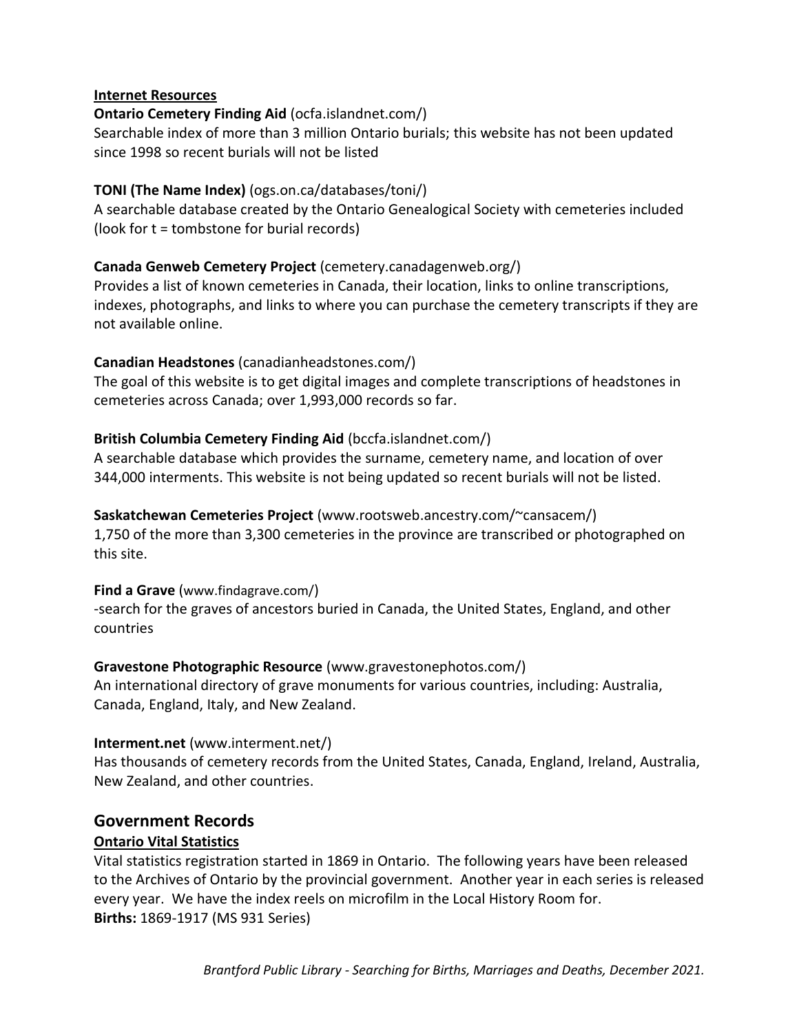#### **Internet Resources**

#### **Ontario Cemetery Finding Aid** (ocfa.islandnet.com/)

Searchable index of more than 3 million Ontario burials; this website has not been updated since 1998 so recent burials will not be listed

### **TONI (The Name Index)** (ogs.on.ca/databases/toni/)

A searchable database created by the Ontario Genealogical Society with cemeteries included (look for t = tombstone for burial records)

#### **Canada Genweb Cemetery Project** (cemetery.canadagenweb.org/)

Provides a list of known cemeteries in Canada, their location, links to online transcriptions, indexes, photographs, and links to where you can purchase the cemetery transcripts if they are not available online.

#### **Canadian Headstones** (canadianheadstones.com/)

The goal of this website is to get digital images and complete transcriptions of headstones in cemeteries across Canada; over 1,993,000 records so far.

# **British Columbia Cemetery Finding Aid** (bccfa.islandnet.com/)

A searchable database which provides the surname, cemetery name, and location of over 344,000 interments. This website is not being updated so recent burials will not be listed.

#### **Saskatchewan Cemeteries Project** (www.rootsweb.ancestry.com/~cansacem/)

1,750 of the more than 3,300 cemeteries in the province are transcribed or photographed on this site.

#### **Find a Grave** (www.findagrave.com/)

-search for the graves of ancestors buried in Canada, the United States, England, and other countries

# **Gravestone Photographic Resource** (www.gravestonephotos.com/)

An international directory of grave monuments for various countries, including: Australia, Canada, England, Italy, and New Zealand.

#### **Interment.net** (www.interment.net/)

Has thousands of cemetery records from the United States, Canada, England, Ireland, Australia, New Zealand, and other countries.

# **Government Records**

#### **Ontario Vital Statistics**

Vital statistics registration started in 1869 in Ontario. The following years have been released to the Archives of Ontario by the provincial government. Another year in each series is released every year. We have the index reels on microfilm in the Local History Room for. **Births:** 1869-1917 (MS 931 Series)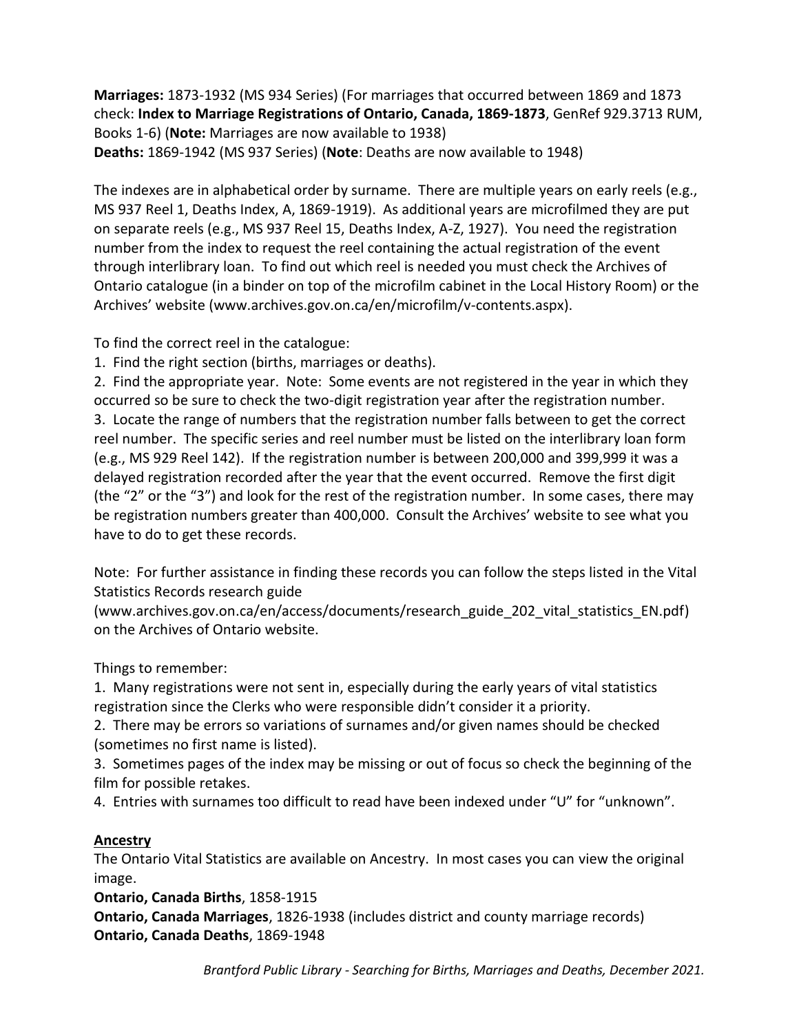**Marriages:** 1873-1932 (MS 934 Series) (For marriages that occurred between 1869 and 1873 check: **Index to Marriage Registrations of Ontario, Canada, 1869-1873**, GenRef 929.3713 RUM, Books 1-6) (**Note:** Marriages are now available to 1938) **Deaths:** 1869-1942 (MS 937 Series) (**Note**: Deaths are now available to 1948)

The indexes are in alphabetical order by surname. There are multiple years on early reels (e.g., MS 937 Reel 1, Deaths Index, A, 1869-1919). As additional years are microfilmed they are put on separate reels (e.g., MS 937 Reel 15, Deaths Index, A-Z, 1927). You need the registration number from the index to request the reel containing the actual registration of the event through interlibrary loan. To find out which reel is needed you must check the Archives of Ontario catalogue (in a binder on top of the microfilm cabinet in the Local History Room) or the Archives' website (www.archives.gov.on.ca/en/microfilm/v-contents.aspx).

To find the correct reel in the catalogue:

1. Find the right section (births, marriages or deaths).

2. Find the appropriate year. Note: Some events are not registered in the year in which they occurred so be sure to check the two-digit registration year after the registration number. 3. Locate the range of numbers that the registration number falls between to get the correct reel number. The specific series and reel number must be listed on the interlibrary loan form (e.g., MS 929 Reel 142). If the registration number is between 200,000 and 399,999 it was a delayed registration recorded after the year that the event occurred. Remove the first digit (the "2" or the "3") and look for the rest of the registration number. In some cases, there may be registration numbers greater than 400,000. Consult the Archives' website to see what you have to do to get these records.

Note: For further assistance in finding these records you can follow the steps listed in the Vital Statistics Records research guide

(www.archives.gov.on.ca/en/access/documents/research\_guide\_202\_vital\_statistics\_EN.pdf) on the Archives of Ontario website.

Things to remember:

1. Many registrations were not sent in, especially during the early years of vital statistics registration since the Clerks who were responsible didn't consider it a priority.

2. There may be errors so variations of surnames and/or given names should be checked (sometimes no first name is listed).

3. Sometimes pages of the index may be missing or out of focus so check the beginning of the film for possible retakes.

4. Entries with surnames too difficult to read have been indexed under "U" for "unknown".

#### **Ancestry**

The Ontario Vital Statistics are available on Ancestry. In most cases you can view the original image.

**Ontario, Canada Births**, 1858-1915

**Ontario, Canada Marriages**, 1826-1938 (includes district and county marriage records) **Ontario, Canada Deaths**, 1869-1948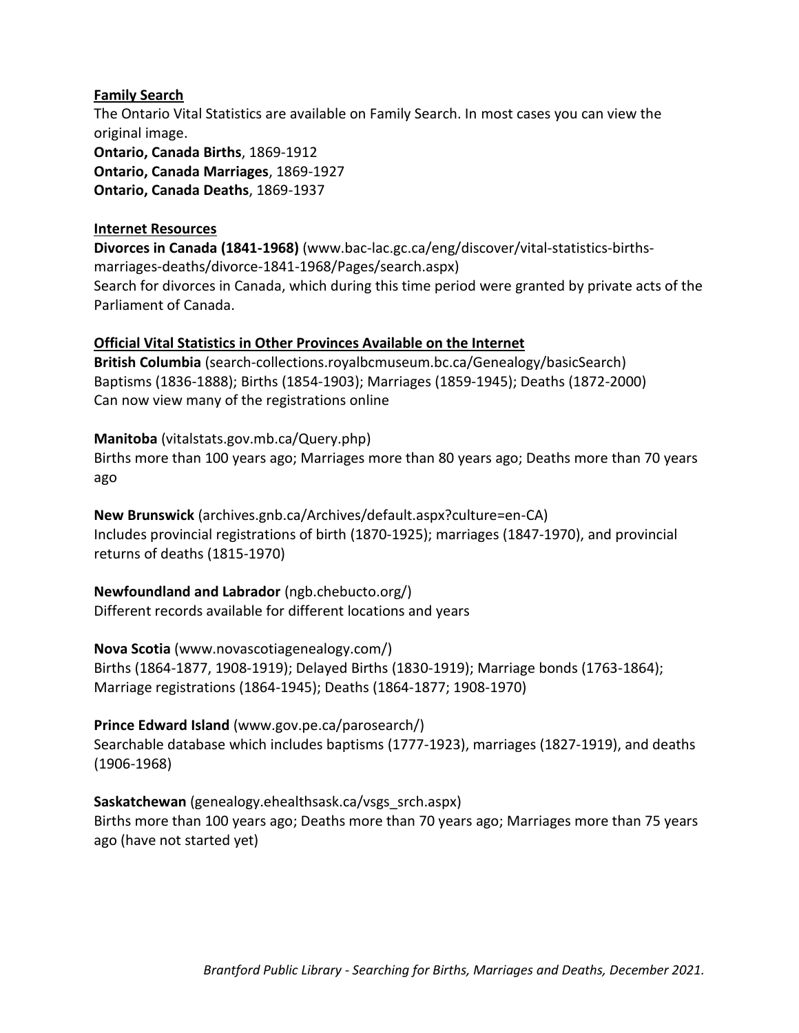#### **Family Search**

The Ontario Vital Statistics are available on Family Search. In most cases you can view the original image. **Ontario, Canada Births**, 1869-1912 **Ontario, Canada Marriages**, 1869-1927 **Ontario, Canada Deaths**, 1869-1937

# **Internet Resources**

**Divorces in Canada (1841-1968)** (www.bac-lac.gc.ca/eng/discover/vital-statistics-birthsmarriages-deaths/divorce-1841-1968/Pages/search.aspx) Search for divorces in Canada, which during this time period were granted by private acts of the Parliament of Canada.

# **Official Vital Statistics in Other Provinces Available on the Internet**

**British Columbia** (search-collections.royalbcmuseum.bc.ca/Genealogy/basicSearch) Baptisms (1836-1888); Births (1854-1903); Marriages (1859-1945); Deaths (1872-2000) Can now view many of the registrations online

# **Manitoba** (vitalstats.gov.mb.ca/Query.php)

Births more than 100 years ago; Marriages more than 80 years ago; Deaths more than 70 years ago

**New Brunswick** (archives.gnb.ca/Archives/default.aspx?culture=en-CA) Includes provincial registrations of birth (1870-1925); marriages (1847-1970), and provincial returns of deaths (1815-1970)

**Newfoundland and Labrador** (ngb.chebucto.org/) Different records available for different locations and years

# **Nova Scotia** (www.novascotiagenealogy.com/)

Births (1864-1877, 1908-1919); Delayed Births (1830-1919); Marriage bonds (1763-1864); Marriage registrations (1864-1945); Deaths (1864-1877; 1908-1970)

# **Prince Edward Island** (www.gov.pe.ca/parosearch/)

Searchable database which includes baptisms (1777-1923), marriages (1827-1919), and deaths (1906-1968)

# **Saskatchewan** (genealogy.ehealthsask.ca/vsgs\_srch.aspx) Births more than 100 years ago; Deaths more than 70 years ago; Marriages more than 75 years ago (have not started yet)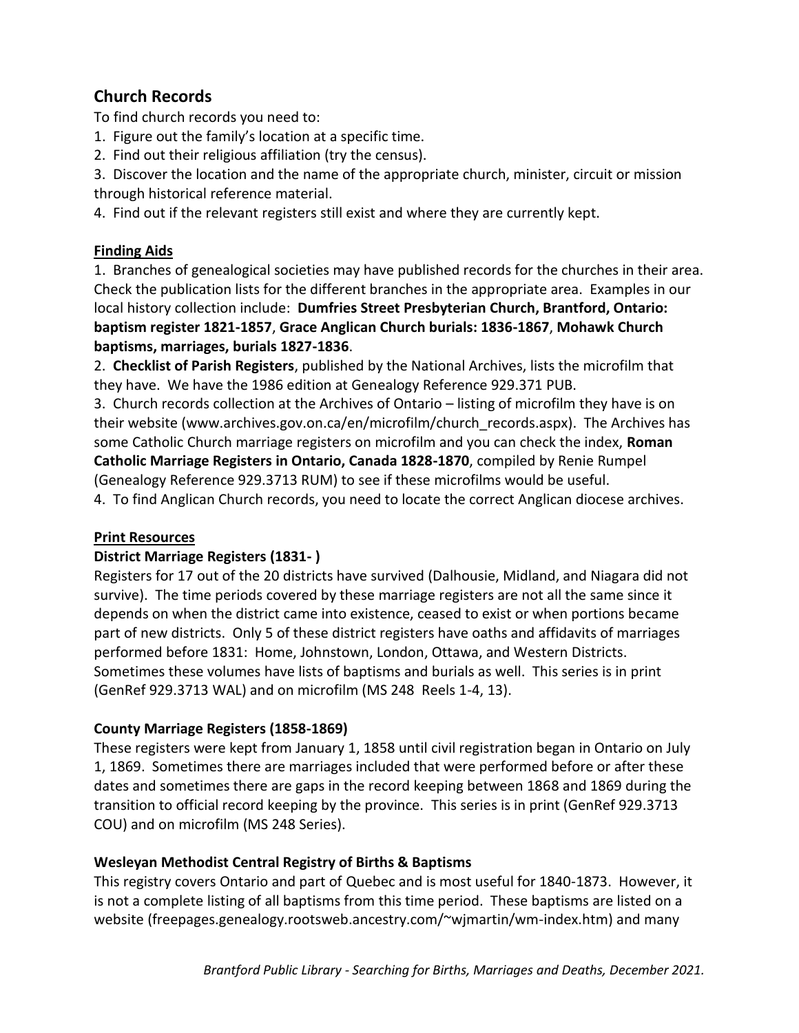# **Church Records**

To find church records you need to:

- 1. Figure out the family's location at a specific time.
- 2. Find out their religious affiliation (try the census).

3. Discover the location and the name of the appropriate church, minister, circuit or mission through historical reference material.

4. Find out if the relevant registers still exist and where they are currently kept.

# **Finding Aids**

1. Branches of genealogical societies may have published records for the churches in their area. Check the publication lists for the different branches in the appropriate area. Examples in our local history collection include: **Dumfries Street Presbyterian Church, Brantford, Ontario: baptism register 1821-1857**, **Grace Anglican Church burials: 1836-1867**, **Mohawk Church baptisms, marriages, burials 1827-1836**.

2. **Checklist of Parish Registers**, published by the National Archives, lists the microfilm that they have. We have the 1986 edition at Genealogy Reference 929.371 PUB.

3. Church records collection at the Archives of Ontario – listing of microfilm they have is on their website (www.archives.gov.on.ca/en/microfilm/church\_records.aspx). The Archives has some Catholic Church marriage registers on microfilm and you can check the index, **Roman Catholic Marriage Registers in Ontario, Canada 1828-1870**, compiled by Renie Rumpel (Genealogy Reference 929.3713 RUM) to see if these microfilms would be useful.

4. To find Anglican Church records, you need to locate the correct Anglican diocese archives.

# **Print Resources**

# **District Marriage Registers (1831- )**

Registers for 17 out of the 20 districts have survived (Dalhousie, Midland, and Niagara did not survive). The time periods covered by these marriage registers are not all the same since it depends on when the district came into existence, ceased to exist or when portions became part of new districts. Only 5 of these district registers have oaths and affidavits of marriages performed before 1831: Home, Johnstown, London, Ottawa, and Western Districts. Sometimes these volumes have lists of baptisms and burials as well. This series is in print (GenRef 929.3713 WAL) and on microfilm (MS 248 Reels 1-4, 13).

# **County Marriage Registers (1858-1869)**

These registers were kept from January 1, 1858 until civil registration began in Ontario on July 1, 1869. Sometimes there are marriages included that were performed before or after these dates and sometimes there are gaps in the record keeping between 1868 and 1869 during the transition to official record keeping by the province. This series is in print (GenRef 929.3713 COU) and on microfilm (MS 248 Series).

# **Wesleyan Methodist Central Registry of Births & Baptisms**

This registry covers Ontario and part of Quebec and is most useful for 1840-1873. However, it is not a complete listing of all baptisms from this time period. These baptisms are listed on a website (freepages.genealogy.rootsweb.ancestry.com/~wjmartin/wm-index.htm) and many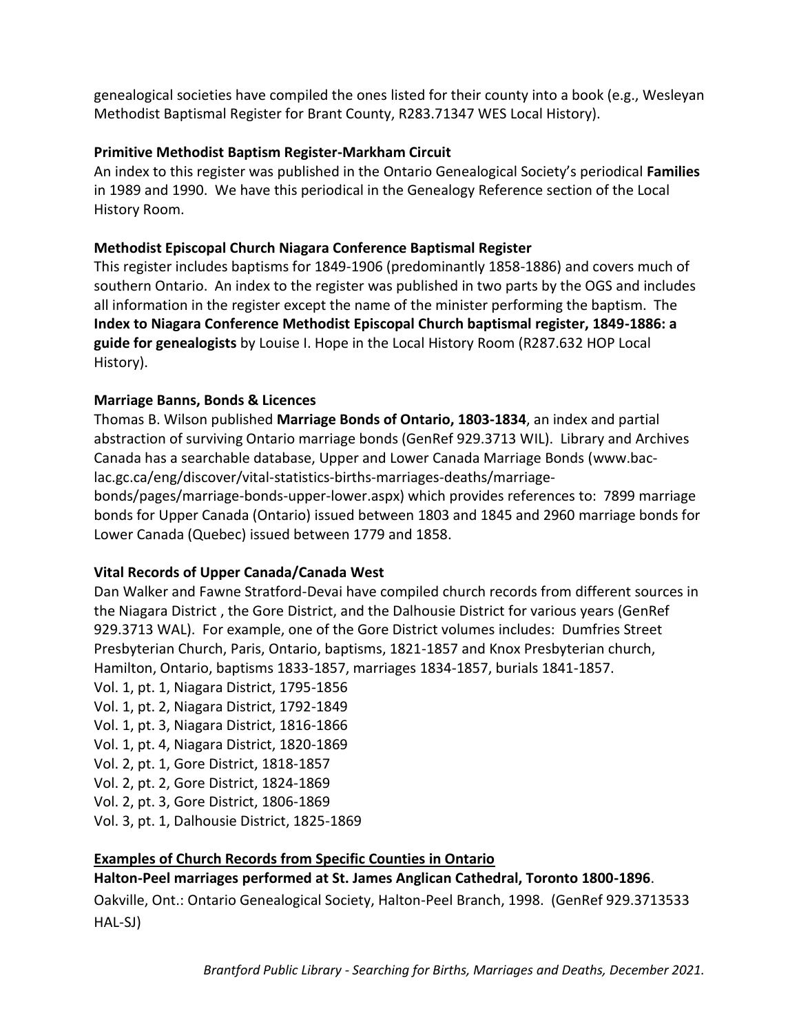genealogical societies have compiled the ones listed for their county into a book (e.g., Wesleyan Methodist Baptismal Register for Brant County, R283.71347 WES Local History).

# **Primitive Methodist Baptism Register-Markham Circuit**

An index to this register was published in the Ontario Genealogical Society's periodical **Families** in 1989 and 1990. We have this periodical in the Genealogy Reference section of the Local History Room.

# **Methodist Episcopal Church Niagara Conference Baptismal Register**

This register includes baptisms for 1849-1906 (predominantly 1858-1886) and covers much of southern Ontario. An index to the register was published in two parts by the OGS and includes all information in the register except the name of the minister performing the baptism. The **Index to Niagara Conference Methodist Episcopal Church baptismal register, 1849-1886: a guide for genealogists** by Louise I. Hope in the Local History Room (R287.632 HOP Local History).

# **Marriage Banns, Bonds & Licences**

Thomas B. Wilson published **Marriage Bonds of Ontario, 1803-1834**, an index and partial abstraction of surviving Ontario marriage bonds (GenRef 929.3713 WIL). Library and Archives Canada has a searchable database, Upper and Lower Canada Marriage Bonds (www.baclac.gc.ca/eng/discover/vital-statistics-births-marriages-deaths/marriage-

bonds/pages/marriage-bonds-upper-lower.aspx) which provides references to: 7899 marriage bonds for Upper Canada (Ontario) issued between 1803 and 1845 and 2960 marriage bonds for Lower Canada (Quebec) issued between 1779 and 1858.

# **Vital Records of Upper Canada/Canada West**

Dan Walker and Fawne Stratford-Devai have compiled church records from different sources in the Niagara District , the Gore District, and the Dalhousie District for various years (GenRef 929.3713 WAL). For example, one of the Gore District volumes includes: Dumfries Street Presbyterian Church, Paris, Ontario, baptisms, 1821-1857 and Knox Presbyterian church, Hamilton, Ontario, baptisms 1833-1857, marriages 1834-1857, burials 1841-1857.

- Vol. 1, pt. 1, Niagara District, 1795-1856
- Vol. 1, pt. 2, Niagara District, 1792-1849
- Vol. 1, pt. 3, Niagara District, 1816-1866
- Vol. 1, pt. 4, Niagara District, 1820-1869
- Vol. 2, pt. 1, Gore District, 1818-1857
- Vol. 2, pt. 2, Gore District, 1824-1869
- Vol. 2, pt. 3, Gore District, 1806-1869
- Vol. 3, pt. 1, Dalhousie District, 1825-1869

# **Examples of Church Records from Specific Counties in Ontario**

# **Halton-Peel marriages performed at St. James Anglican Cathedral, Toronto 1800-1896**.

Oakville, Ont.: Ontario Genealogical Society, Halton-Peel Branch, 1998. (GenRef 929.3713533 HAL-SJ)